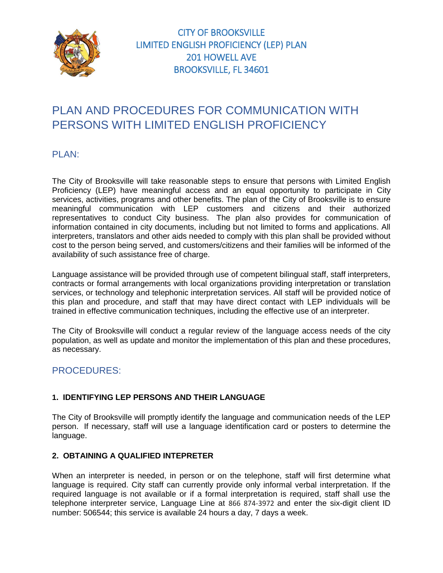

# PLAN AND PROCEDURES FOR COMMUNICATION WITH PERSONS WITH LIMITED ENGLISH PROFICIENCY

## PLAN:

The City of Brooksville will take reasonable steps to ensure that persons with Limited English Proficiency (LEP) have meaningful access and an equal opportunity to participate in City services, activities, programs and other benefits. The plan of the City of Brooksville is to ensure meaningful communication with LEP customers and citizens and their authorized representatives to conduct City business. The plan also provides for communication of information contained in city documents, including but not limited to forms and applications. All interpreters, translators and other aids needed to comply with this plan shall be provided without cost to the person being served, and customers/citizens and their families will be informed of the availability of such assistance free of charge.

Language assistance will be provided through use of competent bilingual staff, staff interpreters, contracts or formal arrangements with local organizations providing interpretation or translation services, or technology and telephonic interpretation services. All staff will be provided notice of this plan and procedure, and staff that may have direct contact with LEP individuals will be trained in effective communication techniques, including the effective use of an interpreter.

The City of Brooksville will conduct a regular review of the language access needs of the city population, as well as update and monitor the implementation of this plan and these procedures, as necessary.

## PROCEDURES:

#### **1. IDENTIFYING LEP PERSONS AND THEIR LANGUAGE**

The City of Brooksville will promptly identify the language and communication needs of the LEP person. If necessary, staff will use a language identification card or posters to determine the language.

#### **2. OBTAINING A QUALIFIED INTEPRETER**

When an interpreter is needed, in person or on the telephone, staff will first determine what language is required. City staff can currently provide only informal verbal interpretation. If the required language is not available or if a formal interpretation is required, staff shall use the telephone interpreter service, Language Line at 866 874-3972 and enter the six-digit client ID number: 506544; this service is available 24 hours a day, 7 days a week.